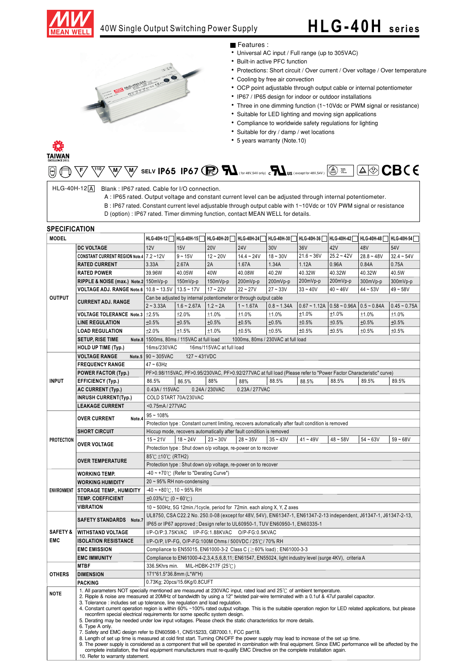

## 40W Single Output Switching Power Supply

# **HLG -40H series**



### Features :

- Universal AC input / Full range (up to 305VAC)
- Built-in active PFC function
- Protections: Short circuit / Over current / Over voltage / Over temperature
- Cooling by free air convection
- OCP point adjustable through output cable or internal potentiometer
- IP67 / IP65 design for indoor or outdoor installations
- Three in one dimming function (1~10Vdc or PWM signal or resistance)
- Suitable for LED lighting and moving sign applications
- Compliance to worldwide safety regulations for lighting
- Suitable for dry / damp / wet locations
- 5 years warranty (Note.10)

## TAIWAN

|  | $\text{For example, the following property, the following property holds:} \begin{equation*} \text{For example, the following inequality holds:} \begin{equation*} \text{For example, the following inequality holds:} \begin{align*} \text{For example, the following inequality holds:} \begin{align*} \text{For example, the following inequality holds:} \begin{align*} \text{For example, the following inequality holds:} \begin{align*} \text{For example, the following inequality holds:} \begin{align*} \text{For example, the following inequality holds:} \end{align*} \begin{align*} \text{For example, the following inequality holds:} \begin{align*} \text{For example, the following inequality holds:} \begin{align*} \text{For example, the following inequality holds:} \end{align*} \end{align*} \begin{align$ |
|--|-------------------------------------------------------------------------------------------------------------------------------------------------------------------------------------------------------------------------------------------------------------------------------------------------------------------------------------------------------------------------------------------------------------------------------------------------------------------------------------------------------------------------------------------------------------------------------------------------------------------------------------------------------------------------------------------------------------------------------------------------------------------------------------------------------------------------------------|
|--|-------------------------------------------------------------------------------------------------------------------------------------------------------------------------------------------------------------------------------------------------------------------------------------------------------------------------------------------------------------------------------------------------------------------------------------------------------------------------------------------------------------------------------------------------------------------------------------------------------------------------------------------------------------------------------------------------------------------------------------------------------------------------------------------------------------------------------------|

HLG-40H-12 A Blank: IP67 rated. Cable for I/O connection.

A : IP65 rated. Output voltage and constant current level can be adjusted through internal potentiometer.

B : IP67 rated. Constant current level adjustable through output cable with 1~10Vdc or 10V PWM signal or resistance

D (option) : IP67 rated. Timer dimming function, contact MEAN WELL for details.

### **SPECIFICATION**

| <b>MODEL</b>        |                                                                                                                                                                                                                                                                                                                                                                                                                                                                                                                                  |                                                                                                                                                                                                                                                                                                                                                                                            |                                                                                                                                                                                       |                                                                            |              |            | HLG-40H-12 HLG-40H-15 HLG-40H-20 HLG-40H-24 HLG-40H-30 HLG-40H-36 HLG-40H-42 HLG-40H-48 HLG-40H-54 |              |              |              |  |  |
|---------------------|----------------------------------------------------------------------------------------------------------------------------------------------------------------------------------------------------------------------------------------------------------------------------------------------------------------------------------------------------------------------------------------------------------------------------------------------------------------------------------------------------------------------------------|--------------------------------------------------------------------------------------------------------------------------------------------------------------------------------------------------------------------------------------------------------------------------------------------------------------------------------------------------------------------------------------------|---------------------------------------------------------------------------------------------------------------------------------------------------------------------------------------|----------------------------------------------------------------------------|--------------|------------|----------------------------------------------------------------------------------------------------|--------------|--------------|--------------|--|--|
|                     | <b>DC VOLTAGE</b>                                                                                                                                                                                                                                                                                                                                                                                                                                                                                                                | 12V                                                                                                                                                                                                                                                                                                                                                                                        | 15V                                                                                                                                                                                   | <b>20V</b>                                                                 | <b>24V</b>   | 30V        | 36V                                                                                                | 42V          | 48V          | 54V          |  |  |
|                     | CONSTANT CURRENT REGION Note.4 7.2~12V                                                                                                                                                                                                                                                                                                                                                                                                                                                                                           |                                                                                                                                                                                                                                                                                                                                                                                            | $9 - 15V$                                                                                                                                                                             | $12 - 20V$                                                                 | $14.4 - 24V$ | $18 - 30V$ | $21.6 - 36V$                                                                                       | $25.2 - 42V$ | $28.8 - 48V$ | $32.4 - 54V$ |  |  |
|                     | <b>RATED CURRENT</b>                                                                                                                                                                                                                                                                                                                                                                                                                                                                                                             | 3.33A                                                                                                                                                                                                                                                                                                                                                                                      | 2.67A                                                                                                                                                                                 | 2A                                                                         | 1.67A        | 1.34A      | 1.12A                                                                                              | 0.96A        | 0.84A        | 0.75A        |  |  |
|                     | <b>RATED POWER</b>                                                                                                                                                                                                                                                                                                                                                                                                                                                                                                               | 39.96W                                                                                                                                                                                                                                                                                                                                                                                     | 40.05W                                                                                                                                                                                | 40W                                                                        | 40.08W       | 40.2W      | 40.32W                                                                                             | 40.32W       | 40.32W       | 40.5W        |  |  |
|                     | RIPPLE & NOISE (max.) Note.2 150mVp-p                                                                                                                                                                                                                                                                                                                                                                                                                                                                                            |                                                                                                                                                                                                                                                                                                                                                                                            | $150mVp-p$                                                                                                                                                                            | 150mVp-p                                                                   | 200mVp-p     | 200mVp-p   | 200mVp-p                                                                                           | 200mVp-p     | 300mVp-p     | 300mVp-p     |  |  |
|                     | VOLTAGE ADJ. RANGE Note.6   10.8 ~ 13.5 V   13.5 ~ 17 V                                                                                                                                                                                                                                                                                                                                                                                                                                                                          |                                                                                                                                                                                                                                                                                                                                                                                            |                                                                                                                                                                                       | $17 - 22V$                                                                 | $22 - 27V$   | $27 - 33V$ | $33 - 40V$                                                                                         | $40 - 46V$   | $44 - 53V$   | $49 - 58V$   |  |  |
| <b>OUTPUT</b>       | <b>CURRENT ADJ. RANGE</b>                                                                                                                                                                                                                                                                                                                                                                                                                                                                                                        | Can be adjusted by internal potentiometer or through output cable                                                                                                                                                                                                                                                                                                                          |                                                                                                                                                                                       |                                                                            |              |            |                                                                                                    |              |              |              |  |  |
|                     |                                                                                                                                                                                                                                                                                                                                                                                                                                                                                                                                  | $1.2 - 2A$<br>$0.67 \sim 1.12A$   0.58 ~ 0.96A   0.5 ~ 0.84A<br>$2 - 3.33A$<br>$1.6 - 2.67A$<br>$1 - 1.67A$<br>$0.8 - 1.34A$<br>$0.45 - 0.75A$                                                                                                                                                                                                                                             |                                                                                                                                                                                       |                                                                            |              |            |                                                                                                    |              |              |              |  |  |
|                     | VOLTAGE TOLERANCE Note.3 ±2.5%                                                                                                                                                                                                                                                                                                                                                                                                                                                                                                   |                                                                                                                                                                                                                                                                                                                                                                                            | ±2.0%                                                                                                                                                                                 | ±1.0%                                                                      | ±1.0%        | ±1.0%      | ±1.0%                                                                                              | ±1.0%        | ±1.0%        | ±1.0%        |  |  |
|                     | <b>LINE REGULATION</b>                                                                                                                                                                                                                                                                                                                                                                                                                                                                                                           | ±0.5%                                                                                                                                                                                                                                                                                                                                                                                      | ±0.5%                                                                                                                                                                                 | ±0.5%                                                                      | ±0.5%        | ±0.5%      | ±0.5%                                                                                              | ±0.5%        | ±0.5%        | ±0.5%        |  |  |
|                     | <b>LOAD REGULATION</b>                                                                                                                                                                                                                                                                                                                                                                                                                                                                                                           | ±2.0%                                                                                                                                                                                                                                                                                                                                                                                      | ±1.5%                                                                                                                                                                                 | ±1.0%                                                                      | ±0.5%        | ±0.5%      | ±0.5%                                                                                              | ±0.5%        | ±0.5%        | ±0.5%        |  |  |
|                     | <b>SETUP, RISE TIME</b>                                                                                                                                                                                                                                                                                                                                                                                                                                                                                                          |                                                                                                                                                                                                                                                                                                                                                                                            |                                                                                                                                                                                       |                                                                            |              |            |                                                                                                    |              |              |              |  |  |
|                     | HOLD UP TIME (Typ.)                                                                                                                                                                                                                                                                                                                                                                                                                                                                                                              | Note.8 1500ms, 80ms / 115VAC at full load<br>1000ms, 80ms / 230VAC at full load<br>16ms/230VAC<br>16ms/115VAC at full load                                                                                                                                                                                                                                                                 |                                                                                                                                                                                       |                                                                            |              |            |                                                                                                    |              |              |              |  |  |
|                     | <b>VOLTAGE RANGE</b>                                                                                                                                                                                                                                                                                                                                                                                                                                                                                                             | Note.5 $90 \sim 305$ VAC                                                                                                                                                                                                                                                                                                                                                                   |                                                                                                                                                                                       |                                                                            |              |            |                                                                                                    |              |              |              |  |  |
|                     | <b>FREQUENCY RANGE</b>                                                                                                                                                                                                                                                                                                                                                                                                                                                                                                           | $127 - 431VDC$<br>$47 - 63$ Hz                                                                                                                                                                                                                                                                                                                                                             |                                                                                                                                                                                       |                                                                            |              |            |                                                                                                    |              |              |              |  |  |
|                     | <b>POWER FACTOR (Typ.)</b>                                                                                                                                                                                                                                                                                                                                                                                                                                                                                                       |                                                                                                                                                                                                                                                                                                                                                                                            |                                                                                                                                                                                       |                                                                            |              |            |                                                                                                    |              |              |              |  |  |
| <b>INPUT</b>        | <b>EFFICIENCY (Typ.)</b>                                                                                                                                                                                                                                                                                                                                                                                                                                                                                                         | 86.5%                                                                                                                                                                                                                                                                                                                                                                                      | PF>0.98/115VAC, PF>0.95/230VAC, PF>0.92/277VAC at full load (Please refer to "Power Factor Characteristic" curve)<br>88.5%<br>86.5%<br>88%<br>88%<br>88.5%<br>88.5%<br>89.5%<br>89.5% |                                                                            |              |            |                                                                                                    |              |              |              |  |  |
|                     | <b>AC CURRENT (Typ.)</b>                                                                                                                                                                                                                                                                                                                                                                                                                                                                                                         |                                                                                                                                                                                                                                                                                                                                                                                            |                                                                                                                                                                                       |                                                                            |              |            |                                                                                                    |              |              |              |  |  |
|                     | <b>INRUSH CURRENT(Typ.)</b>                                                                                                                                                                                                                                                                                                                                                                                                                                                                                                      | 0.43A / 115VAC<br>0.24A / 230VAC<br>0.23A/277VAC                                                                                                                                                                                                                                                                                                                                           |                                                                                                                                                                                       |                                                                            |              |            |                                                                                                    |              |              |              |  |  |
|                     | <b>LEAKAGE CURRENT</b>                                                                                                                                                                                                                                                                                                                                                                                                                                                                                                           | COLD START 70A/230VAC                                                                                                                                                                                                                                                                                                                                                                      |                                                                                                                                                                                       |                                                                            |              |            |                                                                                                    |              |              |              |  |  |
|                     | <b>OVER CURRENT</b><br>Note.4                                                                                                                                                                                                                                                                                                                                                                                                                                                                                                    | <0.75mA / 277VAC                                                                                                                                                                                                                                                                                                                                                                           |                                                                                                                                                                                       |                                                                            |              |            |                                                                                                    |              |              |              |  |  |
|                     |                                                                                                                                                                                                                                                                                                                                                                                                                                                                                                                                  | $95 - 108%$                                                                                                                                                                                                                                                                                                                                                                                |                                                                                                                                                                                       |                                                                            |              |            |                                                                                                    |              |              |              |  |  |
|                     |                                                                                                                                                                                                                                                                                                                                                                                                                                                                                                                                  | Protection type : Constant current limiting, recovers automatically after fault condition is removed<br>Hiccup mode, recovers automatically after fault condition is removed                                                                                                                                                                                                               |                                                                                                                                                                                       |                                                                            |              |            |                                                                                                    |              |              |              |  |  |
|                     | <b>SHORT CIRCUIT</b>                                                                                                                                                                                                                                                                                                                                                                                                                                                                                                             |                                                                                                                                                                                                                                                                                                                                                                                            |                                                                                                                                                                                       |                                                                            |              |            |                                                                                                    |              |              |              |  |  |
| <b>PROTECTION</b>   | <b>OVER VOLTAGE</b>                                                                                                                                                                                                                                                                                                                                                                                                                                                                                                              | $15 - 21V$                                                                                                                                                                                                                                                                                                                                                                                 | $18 - 24V$                                                                                                                                                                            | $23 - 30V$                                                                 | $28 - 35V$   | $35 - 43V$ | $41 - 49V$                                                                                         | $48 - 58V$   | $54 - 63V$   | $59 - 68V$   |  |  |
|                     | <b>OVER TEMPERATURE</b>                                                                                                                                                                                                                                                                                                                                                                                                                                                                                                          | Protection type: Shut down o/p voltage, re-power on to recover                                                                                                                                                                                                                                                                                                                             |                                                                                                                                                                                       |                                                                            |              |            |                                                                                                    |              |              |              |  |  |
|                     |                                                                                                                                                                                                                                                                                                                                                                                                                                                                                                                                  | 85℃ ±10℃ (RTH2)                                                                                                                                                                                                                                                                                                                                                                            |                                                                                                                                                                                       |                                                                            |              |            |                                                                                                    |              |              |              |  |  |
|                     |                                                                                                                                                                                                                                                                                                                                                                                                                                                                                                                                  | Protection type: Shut down o/p voltage, re-power on to recover                                                                                                                                                                                                                                                                                                                             |                                                                                                                                                                                       |                                                                            |              |            |                                                                                                    |              |              |              |  |  |
|                     | <b>WORKING TEMP.</b>                                                                                                                                                                                                                                                                                                                                                                                                                                                                                                             | $-40 \sim +70^{\circ}$ (Refer to "Derating Curve")                                                                                                                                                                                                                                                                                                                                         |                                                                                                                                                                                       |                                                                            |              |            |                                                                                                    |              |              |              |  |  |
|                     | <b>WORKING HUMIDITY</b>                                                                                                                                                                                                                                                                                                                                                                                                                                                                                                          | $20 \sim 95\%$ RH non-condensing                                                                                                                                                                                                                                                                                                                                                           |                                                                                                                                                                                       |                                                                            |              |            |                                                                                                    |              |              |              |  |  |
| ENVIRONMENT         | <b>STORAGE TEMP., HUMIDITY</b>                                                                                                                                                                                                                                                                                                                                                                                                                                                                                                   | $-40 \sim +80^{\circ}$ C, 10 ~ 95% RH                                                                                                                                                                                                                                                                                                                                                      |                                                                                                                                                                                       |                                                                            |              |            |                                                                                                    |              |              |              |  |  |
|                     | <b>TEMP. COEFFICIENT</b>                                                                                                                                                                                                                                                                                                                                                                                                                                                                                                         | $\pm 0.03\%$ /°C (0 ~ 60°C)                                                                                                                                                                                                                                                                                                                                                                |                                                                                                                                                                                       |                                                                            |              |            |                                                                                                    |              |              |              |  |  |
|                     | VIBRATION                                                                                                                                                                                                                                                                                                                                                                                                                                                                                                                        | 10 ~ 500Hz, 5G 12min./1cycle, period for 72min. each along X, Y, Z axes                                                                                                                                                                                                                                                                                                                    |                                                                                                                                                                                       |                                                                            |              |            |                                                                                                    |              |              |              |  |  |
|                     | SAFETY STANDARDS Note.7                                                                                                                                                                                                                                                                                                                                                                                                                                                                                                          | UL8750, CSA C22.2 No. 250.0-08 (except for 48V, 54V), EN61347-1, EN61347-2-13 independent, J61347-1, J61347-2-13,                                                                                                                                                                                                                                                                          |                                                                                                                                                                                       |                                                                            |              |            |                                                                                                    |              |              |              |  |  |
|                     |                                                                                                                                                                                                                                                                                                                                                                                                                                                                                                                                  | IP65 or IP67 approved; Design refer to UL60950-1, TUV EN60950-1, EN60335-1                                                                                                                                                                                                                                                                                                                 |                                                                                                                                                                                       |                                                                            |              |            |                                                                                                    |              |              |              |  |  |
| <b>SAFETY &amp;</b> | <b>WITHSTAND VOLTAGE</b>                                                                                                                                                                                                                                                                                                                                                                                                                                                                                                         |                                                                                                                                                                                                                                                                                                                                                                                            |                                                                                                                                                                                       | I/P-O/P:3.75KVAC I/P-FG:1.88KVAC O/P-FG:0.5KVAC                            |              |            |                                                                                                    |              |              |              |  |  |
| <b>EMC</b>          | <b>ISOLATION RESISTANCE</b>                                                                                                                                                                                                                                                                                                                                                                                                                                                                                                      |                                                                                                                                                                                                                                                                                                                                                                                            |                                                                                                                                                                                       | I/P-O/P, I/P-FG, O/P-FG:100M Ohms / 500VDC / 25°C / 70% RH                 |              |            |                                                                                                    |              |              |              |  |  |
|                     | <b>EMC EMISSION</b>                                                                                                                                                                                                                                                                                                                                                                                                                                                                                                              |                                                                                                                                                                                                                                                                                                                                                                                            |                                                                                                                                                                                       | Compliance to EN55015, EN61000-3-2 Class C ( $\geq$ 60% load); EN61000-3-3 |              |            |                                                                                                    |              |              |              |  |  |
|                     | <b>EMC IMMUNITY</b>                                                                                                                                                                                                                                                                                                                                                                                                                                                                                                              | Compliance to EN61000-4-2,3,4,5,6,8,11; EN61547, EN55024, light industry level (surge 4KV), criteria A                                                                                                                                                                                                                                                                                     |                                                                                                                                                                                       |                                                                            |              |            |                                                                                                    |              |              |              |  |  |
|                     | <b>MTBF</b>                                                                                                                                                                                                                                                                                                                                                                                                                                                                                                                      | 336.5Khrs min.<br>MIL-HDBK-217F (25℃)                                                                                                                                                                                                                                                                                                                                                      |                                                                                                                                                                                       |                                                                            |              |            |                                                                                                    |              |              |              |  |  |
| <b>OTHERS</b>       | <b>DIMENSION</b>                                                                                                                                                                                                                                                                                                                                                                                                                                                                                                                 | 171*61.5*36.8mm (L*W*H)                                                                                                                                                                                                                                                                                                                                                                    |                                                                                                                                                                                       |                                                                            |              |            |                                                                                                    |              |              |              |  |  |
|                     | <b>PACKING</b>                                                                                                                                                                                                                                                                                                                                                                                                                                                                                                                   |                                                                                                                                                                                                                                                                                                                                                                                            | 0.73Kg; 20pcs/15.6Kg/0.8CUFT                                                                                                                                                          |                                                                            |              |            |                                                                                                    |              |              |              |  |  |
| <b>NOTE</b>         | 1. All parameters NOT specially mentioned are measured at 230VAC input, rated load and 25°C of ambient temperature                                                                                                                                                                                                                                                                                                                                                                                                               |                                                                                                                                                                                                                                                                                                                                                                                            |                                                                                                                                                                                       |                                                                            |              |            |                                                                                                    |              |              |              |  |  |
|                     |                                                                                                                                                                                                                                                                                                                                                                                                                                                                                                                                  | 2. Ripple & noise are measured at 20MHz of bandwidth by using a 12" twisted pair-wire terminated with a 0.1uf & 47uf parallel capacitor.<br>3. Tolerance: includes set up tolerance, line regulation and load regulation.<br>4. Constant current operation region is within 60% ~100% rated output voltage. This is the suitable operation region for LED related applications, but please |                                                                                                                                                                                       |                                                                            |              |            |                                                                                                    |              |              |              |  |  |
|                     |                                                                                                                                                                                                                                                                                                                                                                                                                                                                                                                                  |                                                                                                                                                                                                                                                                                                                                                                                            |                                                                                                                                                                                       |                                                                            |              |            |                                                                                                    |              |              |              |  |  |
|                     | reconfirm special electrical requirements for some specific system design.<br>5. Derating may be needed under low input voltages. Please check the static characteristics for more details.                                                                                                                                                                                                                                                                                                                                      |                                                                                                                                                                                                                                                                                                                                                                                            |                                                                                                                                                                                       |                                                                            |              |            |                                                                                                    |              |              |              |  |  |
|                     | 6. Type A only.<br>7. Safety and EMC design refer to EN60598-1, CNS15233, GB7000.1, FCC part18.<br>8. Length of set up time is measured at cold first start. Turning ON/OFF the power supply may lead to increase of the set up time.<br>9. The power supply is considered as a component that will be operated in combination with final equipment. Since EMC performance will be affected by the<br>complete installation, the final equipment manufacturers must re-qualify EMC Directive on the complete installation again. |                                                                                                                                                                                                                                                                                                                                                                                            |                                                                                                                                                                                       |                                                                            |              |            |                                                                                                    |              |              |              |  |  |
|                     |                                                                                                                                                                                                                                                                                                                                                                                                                                                                                                                                  |                                                                                                                                                                                                                                                                                                                                                                                            |                                                                                                                                                                                       |                                                                            |              |            |                                                                                                    |              |              |              |  |  |
|                     |                                                                                                                                                                                                                                                                                                                                                                                                                                                                                                                                  |                                                                                                                                                                                                                                                                                                                                                                                            |                                                                                                                                                                                       |                                                                            |              |            |                                                                                                    |              |              |              |  |  |
|                     |                                                                                                                                                                                                                                                                                                                                                                                                                                                                                                                                  |                                                                                                                                                                                                                                                                                                                                                                                            |                                                                                                                                                                                       |                                                                            |              |            |                                                                                                    |              |              |              |  |  |
|                     | 10. Refer to warranty statement.                                                                                                                                                                                                                                                                                                                                                                                                                                                                                                 |                                                                                                                                                                                                                                                                                                                                                                                            |                                                                                                                                                                                       |                                                                            |              |            |                                                                                                    |              |              |              |  |  |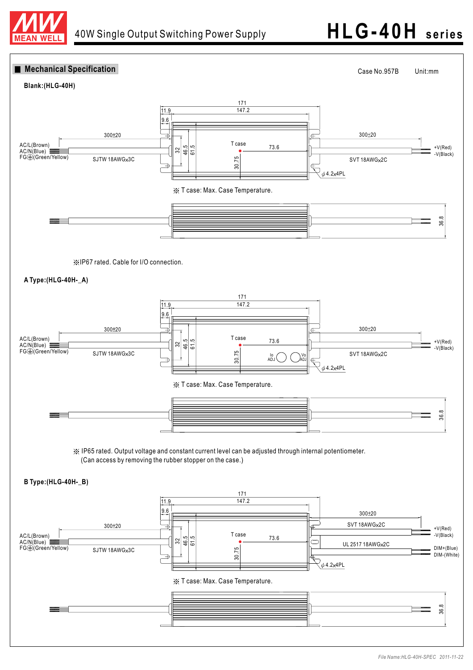

# 40W Single Output Switching Power Supply **HLG -40H seri es**

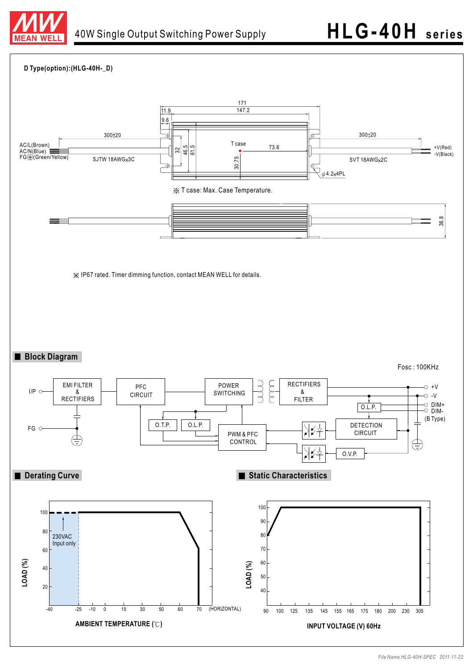

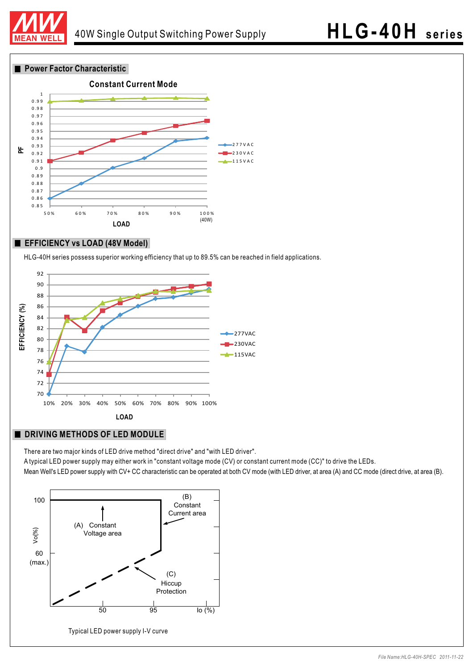

**Power Factor Characteristic** 



### **EFFICIENCY vs LOAD (48V Model)**

HLG-40H series possess superior working efficiency that up to 89.5% can be reached in field applications.



### **DRIVING METHODS OF LED MODULE**

There are two major kinds of LED drive method "direct drive" and "with LED driver".

A typical LED power supply may either work in "constant voltage mode (CV) or constant current mode (CC)" to drive the LEDs. Mean Well's LED power supply with CV+ CC characteristic can be operated at both CV mode (with LED driver, at area (A) and CC mode (direct drive, at area (B).

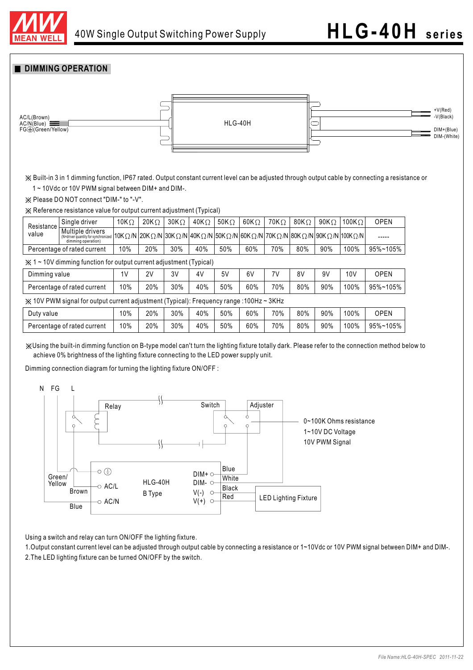

### **DIMMING OPERATION**



Built-in 3 in 1 dimming function, IP67 rated. Output constant current level can be adjusted through output cable by connecting a resistance or 1 ~ 10Vdc or 10V PWM signal between DIM+ and DIM-.

 $\frac{1}{2}$  Please DO NOT connect "DIM-" to "-V".

Reference resistance value for output current adjustment (Typical)

| Resistance<br>value                                                                                 | Single driver                                                                 | 10K $\Omega$ | $20K\Omega$ | $30K\Omega$ | 40K $\Omega$ | 50K $\Omega$ | $60K\Omega$ | $70K\Omega$ | 80K $\Omega$ | 90K $\Omega$                                                                             | 100K $\Omega$ | <b>OPEN</b> |
|-----------------------------------------------------------------------------------------------------|-------------------------------------------------------------------------------|--------------|-------------|-------------|--------------|--------------|-------------|-------------|--------------|------------------------------------------------------------------------------------------|---------------|-------------|
|                                                                                                     | Multiple drivers<br>(N=driver quantity for synchronized<br>dimming operation) |              |             |             |              |              |             |             |              | 10KΩ/N   20KΩ/N   30KΩ/N   40KΩ/N   50KΩ/N   60KΩ/N   70KΩ/N   80KΩ/N   90KΩ/N   100KΩ/N |               | -----       |
| Percentage of rated current                                                                         |                                                                               | 10%          | 20%         | 30%         | 40%          | 50%          | 60%         | 70%         | 80%          | 90%                                                                                      | 100%          | 95%~105%    |
| $\angle$ 1 ~ 10V dimming function for output current adjustment (Typical)                           |                                                                               |              |             |             |              |              |             |             |              |                                                                                          |               |             |
| Dimming value                                                                                       |                                                                               | 1V           | 2V          | 3V          | 4V           | 5V           | 6V          | 7V          | 8V           | 9V                                                                                       | 10V           | <b>OPEN</b> |
| Percentage of rated current                                                                         |                                                                               | 10%          | 20%         | 30%         | 40%          | 50%          | 60%         | 70%         | 80%          | 90%                                                                                      | 100%          | 95%~105%    |
| $\angle$ 10V PWM signal for output current adjustment (Typical): Frequency range :100Hz $\sim$ 3KHz |                                                                               |              |             |             |              |              |             |             |              |                                                                                          |               |             |
| Duty value                                                                                          |                                                                               | 10%          | 20%         | 30%         | 40%          | 50%          | 60%         | 70%         | 80%          | 90%                                                                                      | 100%          | <b>OPEN</b> |
| Percentage of rated current                                                                         |                                                                               | 10%          | 20%         | 30%         | 40%          | 50%          | 60%         | 70%         | 80%          | 90%                                                                                      | 100%          | 95%~105%    |

Using the built-in dimming function on B-type model can't turn the lighting fixture totally dark. Please refer to the connection method below to achieve 0% brightness of the lighting fixture connecting to the LED power supply unit.

Dimming connection diagram for turning the lighting fixture ON/OFF :



Using a switch and relay can turn ON/OFF the lighting fixture.

1. Output constant current level can be adjusted through output cable by connecting a resistance or 1~10Vdc or 10V PWM signal between DIM+ and DIM-. 2.The LED lighting fixture can be turned ON/OFF by the switch.